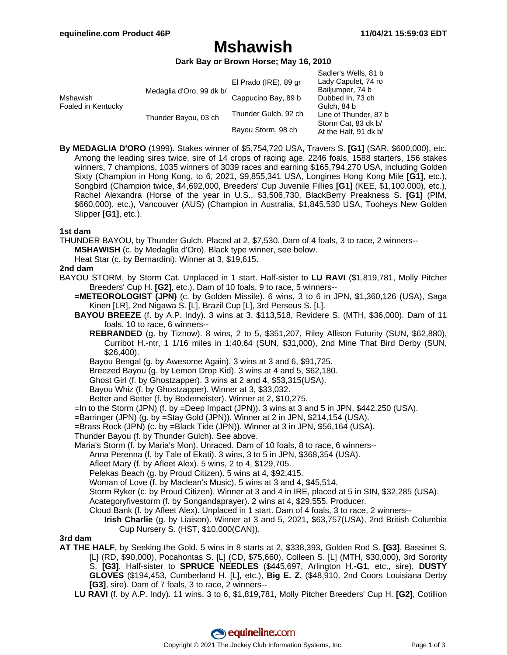# **Mshawish**

#### **Dark Bay or Brown Horse; May 16, 2010**

|                                |                          |                       | Sadler's Wells, 81 b  |
|--------------------------------|--------------------------|-----------------------|-----------------------|
| Mshawish<br>Foaled in Kentucky | Medaglia d'Oro, 99 dk b/ | El Prado (IRE), 89 gr | Lady Capulet, 74 ro   |
|                                |                          |                       | Bailjumper, 74 b      |
|                                |                          | Cappucino Bay, 89 b   | Dubbed In, 73 ch      |
|                                |                          |                       | Gulch, 84 b           |
|                                | Thunder Bayou, 03 ch     | Thunder Gulch, 92 ch  | Line of Thunder, 87 b |
|                                |                          |                       | Storm Cat, 83 dk b/   |
|                                |                          | Bayou Storm, 98 ch    | At the Half, 91 dk b/ |

**By MEDAGLIA D'ORO** (1999). Stakes winner of \$5,754,720 USA, Travers S. **[G1]** (SAR, \$600,000), etc. Among the leading sires twice, sire of 14 crops of racing age, 2246 foals, 1588 starters, 156 stakes winners, 7 champions, 1035 winners of 3039 races and earning \$165,794,270 USA, including Golden Sixty (Champion in Hong Kong, to 6, 2021, \$9,855,341 USA, Longines Hong Kong Mile **[G1]**, etc.), Songbird (Champion twice, \$4,692,000, Breeders' Cup Juvenile Fillies **[G1]** (KEE, \$1,100,000), etc.), Rachel Alexandra (Horse of the year in U.S., \$3,506,730, BlackBerry Preakness S. **[G1]** (PIM, \$660,000), etc.), Vancouver (AUS) (Champion in Australia, \$1,845,530 USA, Tooheys New Golden Slipper **[G1]**, etc.).

#### **1st dam**

- THUNDER BAYOU, by Thunder Gulch. Placed at 2, \$7,530. Dam of 4 foals, 3 to race, 2 winners-- **MSHAWISH** (c. by Medaglia d'Oro). Black type winner, see below.
	- Heat Star (c. by Bernardini). Winner at 3, \$19,615.

#### **2nd dam**

- BAYOU STORM, by Storm Cat. Unplaced in 1 start. Half-sister to **LU RAVI** (\$1,819,781, Molly Pitcher Breeders' Cup H. **[G2]**, etc.). Dam of 10 foals, 9 to race, 5 winners--
	- **=METEOROLOGIST (JPN)** (c. by Golden Missile). 6 wins, 3 to 6 in JPN, \$1,360,126 (USA), Saga Kinen [LR], 2nd Nigawa S. [L], Brazil Cup [L], 3rd Perseus S. [L].
	- **BAYOU BREEZE** (f. by A.P. Indy). 3 wins at 3, \$113,518, Revidere S. (MTH, \$36,000). Dam of 11 foals, 10 to race, 6 winners--
		- **REBRANDED** (g. by Tiznow). 8 wins, 2 to 5, \$351,207, Riley Allison Futurity (SUN, \$62,880), Curribot H.-ntr, 1 1/16 miles in 1:40.64 (SUN, \$31,000), 2nd Mine That Bird Derby (SUN, \$26,400).
		- Bayou Bengal (g. by Awesome Again). 3 wins at 3 and 6, \$91,725.
		- Breezed Bayou (g. by Lemon Drop Kid). 3 wins at 4 and 5, \$62,180.
		- Ghost Girl (f. by Ghostzapper). 3 wins at 2 and 4, \$53,315(USA).
		- Bayou Whiz (f. by Ghostzapper). Winner at 3, \$33,032.
		- Better and Better (f. by Bodemeister). Winner at 2, \$10,275.
	- =In to the Storm (JPN) (f. by =Deep Impact (JPN)). 3 wins at 3 and 5 in JPN, \$442,250 (USA).
	- =Barringer (JPN) (g. by =Stay Gold (JPN)). Winner at 2 in JPN, \$214,154 (USA).
	- =Brass Rock (JPN) (c. by =Black Tide (JPN)). Winner at 3 in JPN, \$56,164 (USA).
	- Thunder Bayou (f. by Thunder Gulch). See above.
	- Maria's Storm (f. by Maria's Mon). Unraced. Dam of 10 foals, 8 to race, 6 winners--
		- Anna Perenna (f. by Tale of Ekati). 3 wins, 3 to 5 in JPN, \$368,354 (USA).
		- Afleet Mary (f. by Afleet Alex). 5 wins, 2 to 4, \$129,705.
		- Pelekas Beach (g. by Proud Citizen). 5 wins at 4, \$92,415.
		- Woman of Love (f. by Maclean's Music). 5 wins at 3 and 4, \$45,514.
		- Storm Ryker (c. by Proud Citizen). Winner at 3 and 4 in IRE, placed at 5 in SIN, \$32,285 (USA).
		- Acategoryfivestorm (f. by Songandaprayer). 2 wins at 4, \$29,555. Producer.
		- Cloud Bank (f. by Afleet Alex). Unplaced in 1 start. Dam of 4 foals, 3 to race, 2 winners--
			- **Irish Charlie** (g. by Liaison). Winner at 3 and 5, 2021, \$63,757(USA), 2nd British Columbia Cup Nursery S. (HST, \$10,000(CAN)).

#### **3rd dam**

- **AT THE HALF**, by Seeking the Gold. 5 wins in 8 starts at 2, \$338,393, Golden Rod S. **[G3]**, Bassinet S. [L] (RD, \$90,000), Pocahontas S. [L] (CD, \$75,660), Colleen S. [L] (MTH, \$30,000), 3rd Sorority S. **[G3]**. Half-sister to **SPRUCE NEEDLES** (\$445,697, Arlington H.**-G1**, etc., sire), **DUSTY GLOVES** (\$194,453, Cumberland H. [L], etc.), **Big E. Z.** (\$48,910, 2nd Coors Louisiana Derby **[G3]**, sire). Dam of 7 foals, 3 to race, 2 winners--
	- **LU RAVI** (f. by A.P. Indy). 11 wins, 3 to 6, \$1,819,781, Molly Pitcher Breeders' Cup H. **[G2]**, Cotillion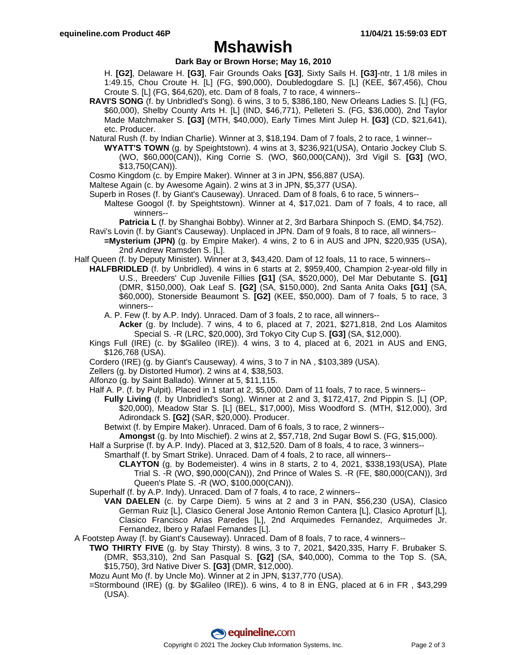## **Mshawish**

### **Dark Bay or Brown Horse; May 16, 2010**

H. **[G2]**, Delaware H. **[G3]**, Fair Grounds Oaks **[G3]**, Sixty Sails H. **[G3]**-ntr, 1 1/8 miles in 1:49.15, Chou Croute H. [L] (FG, \$90,000), Doubledogdare S. [L] (KEE, \$67,456), Chou Croute S. [L] (FG, \$64,620), etc. Dam of 8 foals, 7 to race, 4 winners--

**RAVI'S SONG** (f. by Unbridled's Song). 6 wins, 3 to 5, \$386,180, New Orleans Ladies S. [L] (FG, \$60,000), Shelby County Arts H. [L] (IND, \$46,771), Pelleteri S. (FG, \$36,000), 2nd Taylor Made Matchmaker S. **[G3]** (MTH, \$40,000), Early Times Mint Julep H. **[G3]** (CD, \$21,641), etc. Producer.

Natural Rush (f. by Indian Charlie). Winner at 3, \$18,194. Dam of 7 foals, 2 to race, 1 winner--

**WYATT'S TOWN** (g. by Speightstown). 4 wins at 3, \$236,921(USA), Ontario Jockey Club S. (WO, \$60,000(CAN)), King Corrie S. (WO, \$60,000(CAN)), 3rd Vigil S. **[G3]** (WO, \$13,750(CAN)).

Cosmo Kingdom (c. by Empire Maker). Winner at 3 in JPN, \$56,887 (USA).

Maltese Again (c. by Awesome Again). 2 wins at 3 in JPN, \$5,377 (USA).

- Superb in Roses (f. by Giant's Causeway). Unraced. Dam of 8 foals, 6 to race, 5 winners--
	- Maltese Googol (f. by Speightstown). Winner at 4, \$17,021. Dam of 7 foals, 4 to race, all winners--

**Patricia L** (f. by Shanghai Bobby). Winner at 2, 3rd Barbara Shinpoch S. (EMD, \$4,752).

Ravi's Lovin (f. by Giant's Causeway). Unplaced in JPN. Dam of 9 foals, 8 to race, all winners-- **=Mysterium (JPN)** (g. by Empire Maker). 4 wins, 2 to 6 in AUS and JPN, \$220,935 (USA), 2nd Andrew Ramsden S. [L].

Half Queen (f. by Deputy Minister). Winner at 3, \$43,420. Dam of 12 foals, 11 to race, 5 winners--

**HALFBRIDLED** (f. by Unbridled). 4 wins in 6 starts at 2, \$959,400, Champion 2-year-old filly in U.S., Breeders' Cup Juvenile Fillies **[G1]** (SA, \$520,000), Del Mar Debutante S. **[G1]** (DMR, \$150,000), Oak Leaf S. **[G2]** (SA, \$150,000), 2nd Santa Anita Oaks **[G1]** (SA, \$60,000), Stonerside Beaumont S. **[G2]** (KEE, \$50,000). Dam of 7 foals, 5 to race, 3 winners--

A. P. Few (f. by A.P. Indy). Unraced. Dam of 3 foals, 2 to race, all winners--

**Acker** (g. by Include). 7 wins, 4 to 6, placed at 7, 2021, \$271,818, 2nd Los Alamitos Special S. -R (LRC, \$20,000), 3rd Tokyo City Cup S. **[G3]** (SA, \$12,000).

- Kings Full (IRE) (c. by \$Galileo (IRE)). 4 wins, 3 to 4, placed at 6, 2021 in AUS and ENG, \$126,768 (USA).
- Cordero (IRE) (g. by Giant's Causeway). 4 wins, 3 to 7 in NA , \$103,389 (USA).
- Zellers (g. by Distorted Humor). 2 wins at 4, \$38,503.
- Alfonzo (g. by Saint Ballado). Winner at 5, \$11,115.
- Half A. P. (f. by Pulpit). Placed in 1 start at 2, \$5,000. Dam of 11 foals, 7 to race, 5 winners--
	- **Fully Living** (f. by Unbridled's Song). Winner at 2 and 3, \$172,417, 2nd Pippin S. [L] (OP, \$20,000), Meadow Star S. [L] (BEL, \$17,000), Miss Woodford S. (MTH, \$12,000), 3rd Adirondack S. **[G2]** (SAR, \$20,000). Producer.

Betwixt (f. by Empire Maker). Unraced. Dam of 6 foals, 3 to race, 2 winners--

- **Amongst** (g. by Into Mischief). 2 wins at 2, \$57,718, 2nd Sugar Bowl S. (FG, \$15,000).
- Half a Surprise (f. by A.P. Indy). Placed at 3, \$12,520. Dam of 8 foals, 4 to race, 3 winners--

Smarthalf (f. by Smart Strike). Unraced. Dam of 4 foals, 2 to race, all winners--

**CLAYTON** (g. by Bodemeister). 4 wins in 8 starts, 2 to 4, 2021, \$338,193(USA), Plate Trial S. -R (WO, \$90,000(CAN)), 2nd Prince of Wales S. -R (FE, \$80,000(CAN)), 3rd Queen's Plate S. -R (WO, \$100,000(CAN)).

Superhalf (f. by A.P. Indy). Unraced. Dam of 7 foals, 4 to race, 2 winners--

**VAN DAELEN** (c. by Carpe Diem). 5 wins at 2 and 3 in PAN, \$56,230 (USA), Clasico German Ruiz [L], Clasico General Jose Antonio Remon Cantera [L], Clasico Aproturf [L], Clasico Francisco Arias Paredes [L], 2nd Arquimedes Fernandez, Arquimedes Jr. Fernandez, Ibero y Rafael Fernandes [L].

A Footstep Away (f. by Giant's Causeway). Unraced. Dam of 8 foals, 7 to race, 4 winners--

- **TWO THIRTY FIVE** (g. by Stay Thirsty). 8 wins, 3 to 7, 2021, \$420,335, Harry F. Brubaker S. (DMR, \$53,310), 2nd San Pasqual S. **[G2]** (SA, \$40,000), Comma to the Top S. (SA, \$15,750), 3rd Native Diver S. **[G3]** (DMR, \$12,000).
- Mozu Aunt Mo (f. by Uncle Mo). Winner at 2 in JPN, \$137,770 (USA).
- =Stormbound (IRE) (g. by \$Galileo (IRE)). 6 wins, 4 to 8 in ENG, placed at 6 in FR , \$43,299 (USA).